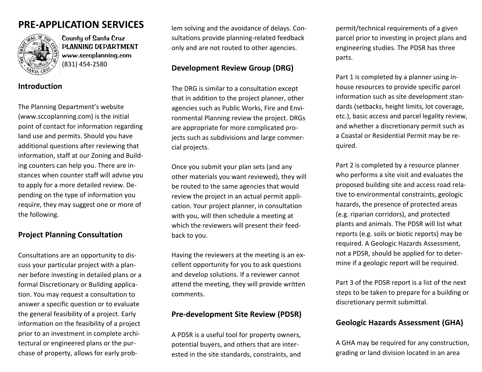# **PRE‐APPLICATION SERVICES** lem



County of Santa Cruz PLANNING DEPARTMENT www.sccoplanning.com (831) 454‐2580

**Introduction**

The Planning Department's website (www.sccoplanning.com) is the initial point of contact for information regarding land use and permits. Should you have additional questions after reviewing that information, staff at our Zoning and Build‐ ing counters can help you. There are in‐ stances when counter staff will advise you to apply for <sup>a</sup> more detailed review. De‐ pending on the type of information you require, they may suggest one or more of the following.

## **Project Planning Consultation**

Consultations are an opportunity to dis‐ cuss your particular project with <sup>a</sup> plan‐ ner before investing in detailed plans or <sup>a</sup> formal Discretionary or Building applica‐ tion. You may request <sup>a</sup> consultation to answer a specific question or to evaluate the general feasibility of <sup>a</sup> project. Early information on the feasibility of <sup>a</sup> project prior to an investment in complete archi‐ tectural or engineered plans or the pur‐ chase of property, allows for early prob‐

lem solving and the avoidance of delays. Consultations provide planning‐related feedback only and are not routed to other agencies.

## **Development Review Group (DRG)**

The DRG is similar to <sup>a</sup> consultation except that in addition to the project planner, other agencies such as Public Works, Fire and Envi‐ ronmental Planning review the project. DRGs are appropriate for more complicated pro‐ jects such as subdivisions and large commer‐ cial projects.

Once you submit your plan sets (and any other materials you want reviewed), they will be routed to the same agencies that would review the project in an actual permit appli‐ cation. Your project planner, in consultation with you, will then schedule <sup>a</sup> meeting at which the reviewers will present their feed‐ back to you.

Having the reviewers at the meeting is an ex‐ cellent opportunity for you to ask questions and develop solutions. If <sup>a</sup> reviewer cannot attend the meeting, they will provide written comments.

## **Pre‐development Site Review (PDSR)**

A PDSR is <sup>a</sup> useful tool for property owners, potential buyers, and others that are inter‐ ested in the site standards, constraints, and permit/technical requirements of <sup>a</sup> given parcel prior to investing in project plans and engineering studies. The PDSR has three parts.

Part 1 is completed by <sup>a</sup> planner using in‐ house resources to provide specific parcel information such as site development stan‐ dards (setbacks, height limits, lot coverage, etc.), basic access and parcel legality review, and whether <sup>a</sup> discretionary permit such as a Coastal or Residential Permit may be re‐ quired.

Part 2 is completed by <sup>a</sup> resource planner who performs <sup>a</sup> site visit and evaluates the proposed building site and access road rela‐ tive to environmental constraints, geologic hazards, the presence of protected areas (e.g. riparian corridors), and protected plants and animals. The PDSR will list what reports (e.g. soils or biotic reports) may be required. A Geologic Hazards Assessment, not a PDSR, should be applied for to deter‐ mine if <sup>a</sup> geologic report will be required.

Part 3 of the PDSR report is <sup>a</sup> list of the next steps to be taken to prepare for <sup>a</sup> building or discretionary permit submittal.

# **Geologic Hazards Assessment (GHA)**

A GHA may be required for any construction, grading or land division located in an area